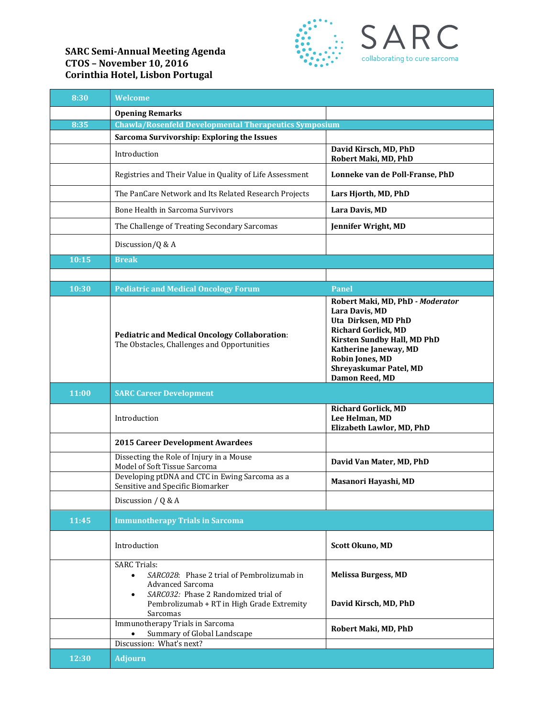## **SARC Semi-Annual Meeting Agenda CTOS – November 10, 2016 Corinthia Hotel, Lisbon Portugal**



| 8:30  | Welcome                                                                                                                                                        |                                                                                                                                                                                                                                |
|-------|----------------------------------------------------------------------------------------------------------------------------------------------------------------|--------------------------------------------------------------------------------------------------------------------------------------------------------------------------------------------------------------------------------|
|       | <b>Opening Remarks</b>                                                                                                                                         |                                                                                                                                                                                                                                |
| 8:35  | <b>Chawla/Rosenfeld Developmental Therapeutics Symposium</b>                                                                                                   |                                                                                                                                                                                                                                |
|       | Sarcoma Survivorship: Exploring the Issues                                                                                                                     |                                                                                                                                                                                                                                |
|       | Introduction                                                                                                                                                   | David Kirsch, MD, PhD<br>Robert Maki, MD, PhD                                                                                                                                                                                  |
|       | Registries and Their Value in Quality of Life Assessment                                                                                                       | Lonneke van de Poll-Franse, PhD                                                                                                                                                                                                |
|       | The PanCare Network and Its Related Research Projects                                                                                                          | Lars Hjorth, MD, PhD                                                                                                                                                                                                           |
|       | Bone Health in Sarcoma Survivors                                                                                                                               | Lara Davis, MD                                                                                                                                                                                                                 |
|       | The Challenge of Treating Secondary Sarcomas                                                                                                                   | Jennifer Wright, MD                                                                                                                                                                                                            |
|       | Discussion/Q & A                                                                                                                                               |                                                                                                                                                                                                                                |
| 10:15 | <b>Break</b>                                                                                                                                                   |                                                                                                                                                                                                                                |
|       |                                                                                                                                                                |                                                                                                                                                                                                                                |
| 10:30 | <b>Pediatric and Medical Oncology Forum</b>                                                                                                                    | Panel                                                                                                                                                                                                                          |
|       | <b>Pediatric and Medical Oncology Collaboration:</b><br>The Obstacles, Challenges and Opportunities                                                            | Robert Maki, MD, PhD - Moderator<br>Lara Davis, MD<br>Uta Dirksen, MD PhD<br><b>Richard Gorlick, MD</b><br>Kirsten Sundby Hall, MD PhD<br>Katherine Janeway, MD<br>Robin Jones, MD<br>Shreyaskumar Patel, MD<br>Damon Reed, MD |
| 11:00 | <b>SARC Career Development</b>                                                                                                                                 |                                                                                                                                                                                                                                |
|       | Introduction                                                                                                                                                   | <b>Richard Gorlick, MD</b><br>Lee Helman, MD<br>Elizabeth Lawlor, MD, PhD                                                                                                                                                      |
|       | <b>2015 Career Development Awardees</b>                                                                                                                        |                                                                                                                                                                                                                                |
|       | Dissecting the Role of Injury in a Mouse<br>Model of Soft Tissue Sarcoma                                                                                       | David Van Mater, MD, PhD                                                                                                                                                                                                       |
|       | Developing ptDNA and CTC in Ewing Sarcoma as a<br>Sensitive and Specific Biomarker                                                                             | Masanori Hayashi, MD                                                                                                                                                                                                           |
|       | Discussion / Q & A                                                                                                                                             |                                                                                                                                                                                                                                |
| 11:45 | <b>Immunotherapy Trials in Sarcoma</b>                                                                                                                         |                                                                                                                                                                                                                                |
|       | Introduction                                                                                                                                                   | Scott Okuno, MD                                                                                                                                                                                                                |
|       | <b>SARC Trials:</b><br>SARC028: Phase 2 trial of Pembrolizumab in<br>$\bullet$<br><b>Advanced Sarcoma</b><br>SARC032: Phase 2 Randomized trial of<br>$\bullet$ | <b>Melissa Burgess, MD</b>                                                                                                                                                                                                     |
|       | Pembrolizumab + RT in High Grade Extremity<br>Sarcomas                                                                                                         | David Kirsch, MD, PhD                                                                                                                                                                                                          |
|       | Immunotherapy Trials in Sarcoma<br>Summary of Global Landscape                                                                                                 | Robert Maki, MD, PhD                                                                                                                                                                                                           |
|       | Discussion: What's next?                                                                                                                                       |                                                                                                                                                                                                                                |
| 12:30 | <b>Adjourn</b>                                                                                                                                                 |                                                                                                                                                                                                                                |